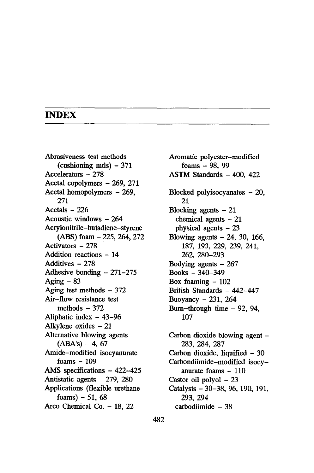## **INDEX**

Abrasiveness test methods (cushioning mtls)  $-371$ Accelerators - 278 Acetal copolymers - 269, 271 Acetal homopolymers - 269, 271 Acetals - 226 Acoustic windows - 264 Acrylonitrile-butadiene-styrene (ABS) foam - 225,264,272 Activators - 278 Addition reactions - 14 Additives - 278 Adhesive bonding  $-271-275$ Aging  $-83$ Aging test methods  $-372$ Air-flow resistance test methods  $-372$ Aliphatic index - 43-96 Alkylene oxides - 21 Alternative blowing agents  $(ABA's) - 4, 67$ Amide-modified isocyanurate  $foams - 109$ AMS specifications - 422-425 Antistatic agents - 279, 280 Applications (flexible urethane  $foams$ ) - 51, 68 Arco Chemical Co. - 18, 22

Aromatic polyester-modified foams - 98, 99 ASTM Standards - 400, 422 Blocked polyisocyanates - 20, 21 Blocking agents  $-21$ chemical agents  $-21$ physical agents  $-23$ Blowing agents  $-24$ , 30, 166, 187, 193, 229, 239, 241, 262, 280-293 Bodying agents  $-267$ Books - 340-349 Box foaming  $-102$ British Standards - 442-447 Buoyancy  $-231, 264$ Burn-through time  $-92$ , 94, 107

Carbon dioxide blowing agent -283, 284, 287 Carbon dioxide, liquified - 30 Carbondiimide-modified isocyanurate foams  $-110$ Castor oil polyol  $-23$ Catalysts - 30-38, 96, 190, 191, 293, 294 carbodiimide - 38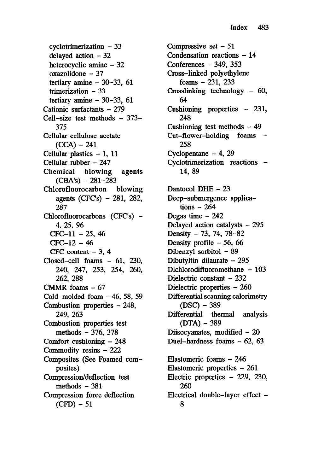$cyclotrimerization - 33$ delayed action - 32 heterocyclic amine - 32 oxazolidone - 37 tertiary amine  $-30-33$ , 61 trimerization  $-33$ tertiary amine  $-30-33$ , 61 Cationic surfactants - 279 Cell-size test methods - 373- 375 Cellular cellulose acetate  $(CCA) - 241$ Cellular plastics  $-1$ , 11 Cellular rubber - 247 Chemical blowing agents  $(CBA's) - 281-283$ Chlorofluorocarbon blowing agents (CFC's) - 281, 282, 287 Chlorofluorocarbons (CFC's) -4, 25, 96  $CFC-11 - 25, 46$  $CFC-12 - 46$ CFC content  $-3$ , 4 Closed-cell foams - 61, 230, 240, 247, 253, 254, 260, 262, 288 CMMR foams  $-67$ Cold-molded foam  $-46$ , 58, 59 Combustion properties - 248, 249, 263 Combustion properties test methods - 376, 378 Comfort cushioning - 248 Commodity resins - 222 Composites (See Foamed composites) Compression/deflection test methods  $-381$ Compression force deflection  $(CFD) - 51$ 

Compressive set - 51 Condensation reactions - 14 Conferences - 349, 353 Cross-linked polyethylene foams - 231, 233 Crosslinking technology - 60, 64 Cushioning properties - 231, 248 Cushioning test methods  $-49$ Cut-flower-holding foams -258 Cyclopentane - 4, 29 Cyclotrimerization reactions - 14, 89 Dantocol DHE - 23 Deep-submergence applica $tions - 264$ Degas time  $-242$ Delayed action catalysts - 295 Density - 73, 74, 78-82 Density profile  $-56, 66$ Dibenzyl sorbitol - 89 Dibutyltin dilaurate - 295 Dichlorodifluoromethane - 103 Dielectric constant - 232 Dielectric properties - 260 Differential scanning calorimetry  $(DSC) - 389$ Differential thermal analysis  $(DTA) - 389$ Diisocyanates, modified  $-20$ Duel-hardness foams - 62, 63 Elastomeric foams - 246 Elastomeric properties - 261 Electric properties  $-229$ , 230, 260 Electrical double-layer effect -8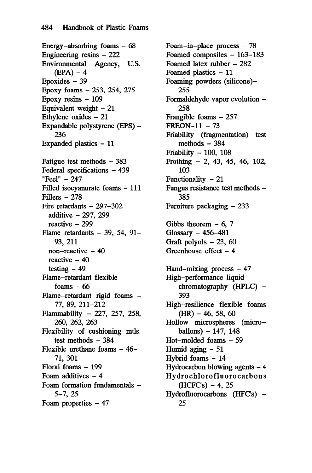Energy-absorbing foams  $-68$ Engineering resins - 222<br>Environmental Agency, Agency, U.S.  $(EPA) - 4$ Epoxides  $-39$ Epoxy foams - 253, 254, 275 Epoxy resins - 109 Equivalent weight  $-21$ Ethylene oxides - 21 Expandable polystyrene (EPS) - 236 Expanded plastics - 11 Fatigue test methods  $-383$ Federal specifications - 439 "Feel" - 247 Filled isocyanurate foams - 111 Fillers - 278 Fire retardants  $-297-302$ additive - 297, 299 reactive - 299 Flame retardants  $-39$ , 54, 91-93, 211 non-reactive  $-40$ reactive  $-40$ testing  $-49$ Flame-retardant flexible foams  $-66$ Flame-retardant rigid foams - 77, 89, 211-212 Flammability - 227, 257, 258, 260, 262, 263 Flexibility of cushioning mtls. test methods  $-384$ Flexible urethane foams  $-46-$ 71, 301 Floral foams - 199 Foam additives  $-4$ Foam formation fundamentals - 5-7, 25 Foam properties  $-47$ 

Foam-in-place process  $-78$ Foamed composites - 163-183 Foamed latex rubber - 282 Foamed plastics - 11 Foaming powders (silicone)- 255 Formaldehyde vapor evolution - 258 Frangible foams - 257  $FREDN-11 - 73$ Friability (fragmentation) test methods  $-384$ Friability  $-100$ , 108 Frothing - 2, 43, 45, 46, 102, 103 Functionality  $-21$ Fungus resistance test methods - 385 Furniture packaging  $-233$ Gibbs theorem  $-6$ , 7 Glossary - 456-481 Graft polyols - 23, 60 Greenhouse effect  $-4$ Hand-mixing process  $-47$ High-performance liquid chromatography (HPLC) -393 High-resilience flexible foams  $(HR) - 46, 58, 60$ Hollow microspheres (micro $ballons) - 147, 148$ Hot-molded foams - 59 Humid aging - 51 Hybrid foams - 14 Hydrocarbon blowing agents  $-4$ Hydrochlorofluorocarbons  $(HCFC's) - 4, 25$ Hydrofluorocarbons  $(HFC's)$  -25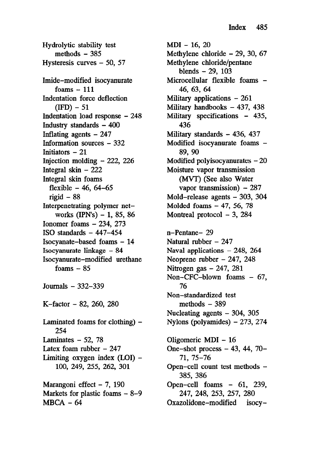Hydrolytic stability test methods  $-385$ Hysteresis curves - 50, 57 Imide-modified isocyanurate foams  $-111$ Indentation force deflection  $(IFD) - 51$ Indentation load response - 248 Industry standards  $-400$ Inflating agents  $-247$ Information sources - 332 Initiators - 21 Injection molding  $-222$ , 226 Integral skin  $-222$ Integral skin foams flexible - 46, 64-65 rigid  $-88$ Interpenetrating polymer networks (IPN's)  $-1$ , 85, 86 Ionomer foams - 234, 273 ISO standards  $-447-454$ Isocyanate-based foams - 14 Isocyanurate linkage - 84 Isocyanurate-modified urethane foams  $-85$ Journals - 332-339 K-factor - 82, 260, 280 Laminated foams for clothing)  $-$ 254 Laminates  $-52$ , 78 Latex foam rubber  $-247$ Limiting oxygen index  $(LOI)$  – 100, 249, 255, 262, 301 Marangoni effect  $-7$ , 190

Markets for plastic foams - 8-9  $MBCA - 64$ 

MD1 - 16, 20 Methylene chloride - 29, 30, 67 Methylene chloride/pentane blends  $-29$ ,  $103$ Microcellular flexible foams -46, 63, 64 Military applications  $-261$ Military handbooks - 437, 438 Military specifications - 435, 436 Military standards - 436, 437 Modified isocyanurate foams -89, 90 Modified polyisocyanurates  $-20$ Moisture vapor transmission (MVT) (See also Water vapor transmission)  $-287$ Mold-release agents - 303, 304 Molded foams  $-47$ , 56, 78 Montreal protocol - 3, 284 n-Pentane- 29 Natural rubber  $-247$ Naval applications  $-248$ , 264 Neoprene rubber  $-247, 248$ Nitrogen gas - 247, 281 Non-CFC-blown foams - 67, 76 Non-standardized test methods  $-389$ Nucleating agents - 304, 305 Nylons (polyamides)  $-273$ , 274 Oligomeric MD1 - 16 One-shot process  $-43$ ,  $44$ ,  $70-$ 71, 75-76 Open-cell count test methods - 385, 386 Open-cell foams - 61, 239, 247, 248, 253, 257, 280

Oxazolidone-modified isocy-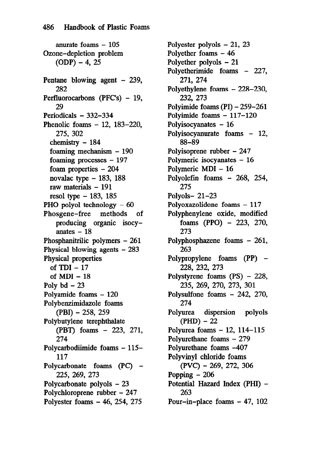anurate foams  $-105$ Ozone-depletion problem  $(ODP) - 4, 25$ Pentane blowing agent - 239, 282 Perfluorocarbons (PFC's) - 19, 29 Periodicals - 332-334 Phenolic foams - 12, 183-220, 275, 302 chemistry - 184 foaming mechanism - 190 foaming processes - 197 foam properties - 204 novalac type  $-183$ , 188 raw materials - 191 resol type  $-183$ , 185 PHO polyol technology - 60 Phosgene-free methods of producing organic isocyanates  $-18$ Phosphanitrilic polymers - 261 Physical blowing agents - 283 Physical properties of TDI - 17 of MD1 - 18 Poly  $bd - 23$ Polyamide foams - 120 Polybenzimidazole foams  $(PBI) - 258, 259$ Polybutylene terephthalate (PBT) foams - 223, 271, 274 Polycarbodiimide foams - 115- 117 Polycarbonate foams (PC) -225, 269, 273 Polycarbonate polyols - 23 Polychloroprene rubber - 247 Polyester foams - 46, 254, 275

Polyester polyols - 21, 23 Polyether foams - 46 Polyether polyols - 21 Polyetherimide foams - 227, 271, 274 Polyethylene foams - 228-230, 232, 273 Polyimide foams (PI) - 259-261 Polyimide foams - 117-120 Polyisocyanates  $-16$ Polyisocyanurate foams - 12, 88-89 Polyisoprene rubber - 247 Polymeric isocyanates - 16 Polymeric MDI - 16 Polyolefin foams - 268, 254, 275 Polyols- 21-23 Polyoxazolidone foams - 117 Polyphenylene oxide, modified foams (PPO)  $-223$ , 270, 273 Polyphosphazene foams - 261, 263 Polypropylene foams (PP) -228, 232, 273 Polystyrene foams (PS) - 228, 235, 269, 270, 273, 301 Polysulfone foams - 242, 270, 274 Polyurea dispersion polyols  $(PHD) - 22$ Polyurea foams - 12, 114-115 Polyurethane foams - 279 Polyurethane foams -407 Polyvinyl chloride foams (PVC) - 269, 272, 306 Popping  $-206$ Potential Hazard Index (PHI) - 263 Pour-in-place foams - 47, 102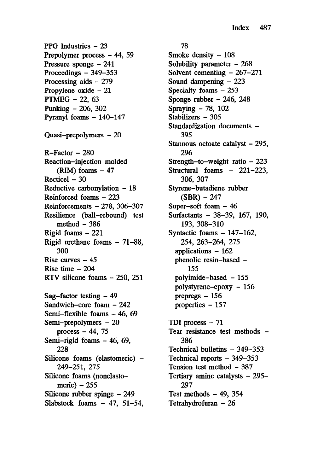PPG Industries - 23 Prepolymer process - 44, 59 Pressure sponge - 241 Proceedings  $-349-353$ Processing aids - 279 Propylene oxide - 21 PTMEG - 22, 63 Punking - 206, 302 Pyranyl foams - 140-147 Quasi-prepolymers - 20  $R-Factor - 280$ Reaction-injection molded  $(RIM)$  foams  $-47$  $Recticel - 30$ Reductive carbonylation  $-18$ Reinforced foams - 223 Reinforcements - 278, 306-307 Resilience (ball-rebound) test method  $-386$ Rigid foams  $-221$ Rigid urethane foams - 71-88, 300 Rise curves  $-45$ Rise time  $-204$ RTV silicone foams - 250, 251  $Sag–factor$  testing  $-49$ Sandwich-core foam - 242 Semi-flexible foams - 46, 69 Semi-prepolymers - 20 process  $-44$ , 75 Semi-rigid foams - 46, 69, 228 Silicone foams (elastomeric) -249-251, 275 Silicone foams (nonelastomeric)  $-255$ Silicone rubber spinge – 249 Slabstock foams  $-47$ , 51-54,

## 78

Smoke density  $-108$ Solubility parameter  $-268$ Solvent cementing  $-267-271$ Sound dampening  $-223$ Specialty foams - 253 Sponge rubber  $-246$ , 248 Spraying - 78, 102 Stabilizers - 305 Standardization documents -395 Stannous octoate catalyst  $-295$ , 296 Strength-to-weight ratio  $-223$ Structural foams - 221-223, 306, 307 Styrene-butadiene rubber  $(SBR) - 247$ Super-soft foam - 46 Surfactants - 38-39, 167, 190, 193, 308-310 Syntactic foams  $-147-162$ , 254, 263-264, 275 applications - 162 phenolic resin-based - 155 polyimide-based - 155 polystyrene-epoxy - 156 prepregs - 156 properties - 157 TDI process  $-71$ Tear resistance test methods -386 Technical bulletins - 349-353 Technical reports – 349–353 Tension test method - 387 Tertiary amine catalysts - 295-297 Test methods  $-49$ , 354 Tetrahydrofuran  $-26$